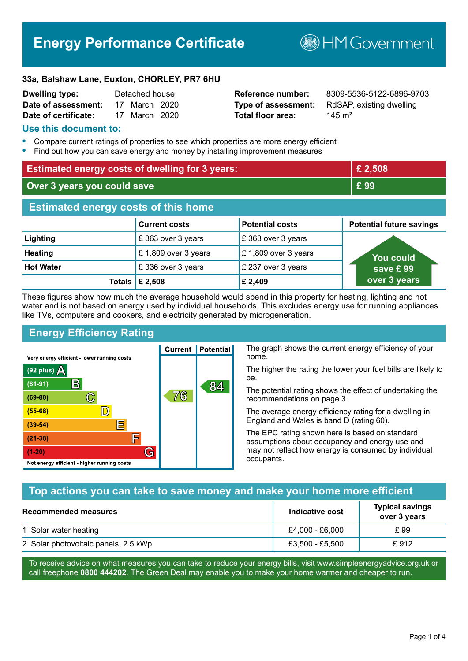# **Energy Performance Certificate**

**B**HMGovernment

#### **33a, Balshaw Lane, Euxton, CHORLEY, PR7 6HU**

| <b>Dwelling type:</b> | Detached house |               |  |
|-----------------------|----------------|---------------|--|
| Date of assessment:   |                | 17 March 2020 |  |
| Date of certificate:  |                | 17 March 2020 |  |

# **Total floor area:** 145 m<sup>2</sup>

**Reference number:** 8309-5536-5122-6896-9703 **Type of assessment:** RdSAP, existing dwelling

### **Use this document to:**

- **•** Compare current ratings of properties to see which properties are more energy efficient
- **•** Find out how you can save energy and money by installing improvement measures

| <b>Estimated energy costs of dwelling for 3 years:</b> |                           |                        | £ 2,508                         |
|--------------------------------------------------------|---------------------------|------------------------|---------------------------------|
| Over 3 years you could save                            |                           | £99                    |                                 |
| <b>Estimated energy costs of this home</b>             |                           |                        |                                 |
|                                                        | <b>Current costs</b>      | <b>Potential costs</b> | <b>Potential future savings</b> |
| Lighting                                               | £ 363 over 3 years        | £363 over 3 years      |                                 |
| <b>Heating</b>                                         | £1,809 over 3 years       | £1,809 over 3 years    | <b>You could</b>                |
| <b>Hot Water</b>                                       | £336 over 3 years         | £ 237 over 3 years     | save £99                        |
|                                                        | Totals $\mathsf{E}$ 2,508 | £ 2,409                | over 3 years                    |

These figures show how much the average household would spend in this property for heating, lighting and hot water and is not based on energy used by individual households. This excludes energy use for running appliances like TVs, computers and cookers, and electricity generated by microgeneration.

**Current | Potential** 

76

# **Energy Efficiency Rating**

 $\mathbb{C}$ 

 $\mathbb{D}$ 

E

肩

G

Very energy efficient - lower running costs

 $\mathsf{R}% _{T}$ 

Not energy efficient - higher running costs

(92 plus)  $\Delta$ 

 $(81 - 91)$ 

 $(69 - 80)$ 

 $(55-68)$  $(39-54)$ 

 $(21-38)$ 

 $(1-20)$ 

The graph shows the current energy efficiency of your home.

The higher the rating the lower your fuel bills are likely to be.

The potential rating shows the effect of undertaking the recommendations on page 3.

The average energy efficiency rating for a dwelling in England and Wales is band D (rating 60).

The EPC rating shown here is based on standard assumptions about occupancy and energy use and may not reflect how energy is consumed by individual occupants.

# **Top actions you can take to save money and make your home more efficient**

84

| Recommended measures                 | Indicative cost | <b>Typical savings</b><br>over 3 years |
|--------------------------------------|-----------------|----------------------------------------|
| 1 Solar water heating                | £4.000 - £6.000 | £ 99                                   |
| 2 Solar photovoltaic panels, 2.5 kWp | £3,500 - £5,500 | £ 912                                  |

To receive advice on what measures you can take to reduce your energy bills, visit www.simpleenergyadvice.org.uk or call freephone **0800 444202**. The Green Deal may enable you to make your home warmer and cheaper to run.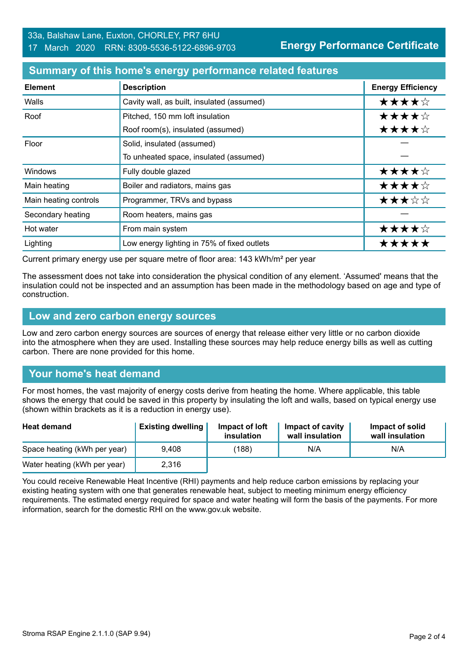#### **Summary of this home's energy performance related features**

| <b>Element</b>        | <b>Description</b>                          | <b>Energy Efficiency</b> |
|-----------------------|---------------------------------------------|--------------------------|
| Walls                 | Cavity wall, as built, insulated (assumed)  | ★★★★☆                    |
| Roof                  | Pitched, 150 mm loft insulation             | ★★★★☆                    |
|                       | Roof room(s), insulated (assumed)           | ★★★★☆                    |
| Floor                 | Solid, insulated (assumed)                  |                          |
|                       | To unheated space, insulated (assumed)      |                          |
| <b>Windows</b>        | Fully double glazed                         | ★★★★☆                    |
| Main heating          | Boiler and radiators, mains gas             | ★★★★☆                    |
| Main heating controls | Programmer, TRVs and bypass                 | ★★★☆☆                    |
| Secondary heating     | Room heaters, mains gas                     |                          |
| Hot water             | From main system                            | ★★★★☆                    |
| Lighting              | Low energy lighting in 75% of fixed outlets | *****                    |

Current primary energy use per square metre of floor area: 143 kWh/m² per year

The assessment does not take into consideration the physical condition of any element. 'Assumed' means that the insulation could not be inspected and an assumption has been made in the methodology based on age and type of construction.

#### **Low and zero carbon energy sources**

Low and zero carbon energy sources are sources of energy that release either very little or no carbon dioxide into the atmosphere when they are used. Installing these sources may help reduce energy bills as well as cutting carbon. There are none provided for this home.

# **Your home's heat demand**

For most homes, the vast majority of energy costs derive from heating the home. Where applicable, this table shows the energy that could be saved in this property by insulating the loft and walls, based on typical energy use (shown within brackets as it is a reduction in energy use).

| <b>Heat demand</b>           | <b>Existing dwelling</b> | Impact of loft<br>insulation | Impact of cavity<br>wall insulation | Impact of solid<br>wall insulation |
|------------------------------|--------------------------|------------------------------|-------------------------------------|------------------------------------|
| Space heating (kWh per year) | 9.408                    | (188)                        | N/A                                 | N/A                                |
| Water heating (kWh per year) | 2,316                    |                              |                                     |                                    |

You could receive Renewable Heat Incentive (RHI) payments and help reduce carbon emissions by replacing your existing heating system with one that generates renewable heat, subject to meeting minimum energy efficiency requirements. The estimated energy required for space and water heating will form the basis of the payments. For more information, search for the domestic RHI on the www.gov.uk website.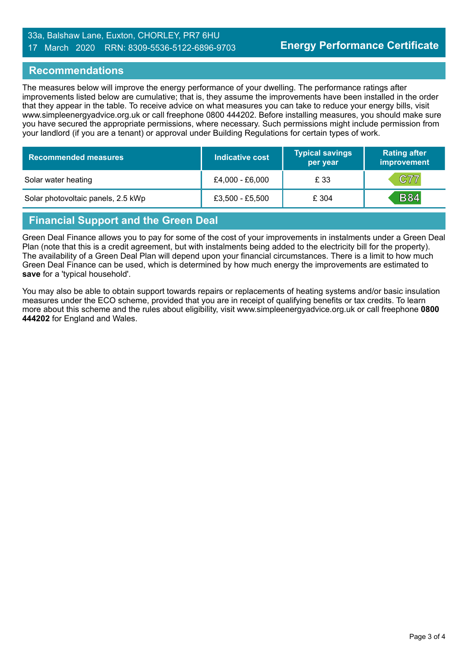#### 33a, Balshaw Lane, Euxton, CHORLEY, PR7 6HU 17 March 2020 RRN: 8309-5536-5122-6896-9703

### **Recommendations**

The measures below will improve the energy performance of your dwelling. The performance ratings after improvements listed below are cumulative; that is, they assume the improvements have been installed in the order that they appear in the table. To receive advice on what measures you can take to reduce your energy bills, visit www.simpleenergyadvice.org.uk or call freephone 0800 444202. Before installing measures, you should make sure you have secured the appropriate permissions, where necessary. Such permissions might include permission from your landlord (if you are a tenant) or approval under Building Regulations for certain types of work.

| <b>Recommended measures</b>        | Indicative cost   | <b>Typical savings</b><br>per year | <b>Rating after</b><br>improvement |
|------------------------------------|-------------------|------------------------------------|------------------------------------|
| Solar water heating                | £4,000 - £6,000   | £ 33                               | C77                                |
| Solar photovoltaic panels, 2.5 kWp | $£3,500 - £5,500$ | £ 304                              | <b>B84</b>                         |

# **Financial Support and the Green Deal**

Green Deal Finance allows you to pay for some of the cost of your improvements in instalments under a Green Deal Plan (note that this is a credit agreement, but with instalments being added to the electricity bill for the property). The availability of a Green Deal Plan will depend upon your financial circumstances. There is a limit to how much Green Deal Finance can be used, which is determined by how much energy the improvements are estimated to **save** for a 'typical household'.

You may also be able to obtain support towards repairs or replacements of heating systems and/or basic insulation measures under the ECO scheme, provided that you are in receipt of qualifying benefits or tax credits. To learn more about this scheme and the rules about eligibility, visit www.simpleenergyadvice.org.uk or call freephone **0800 444202** for England and Wales.